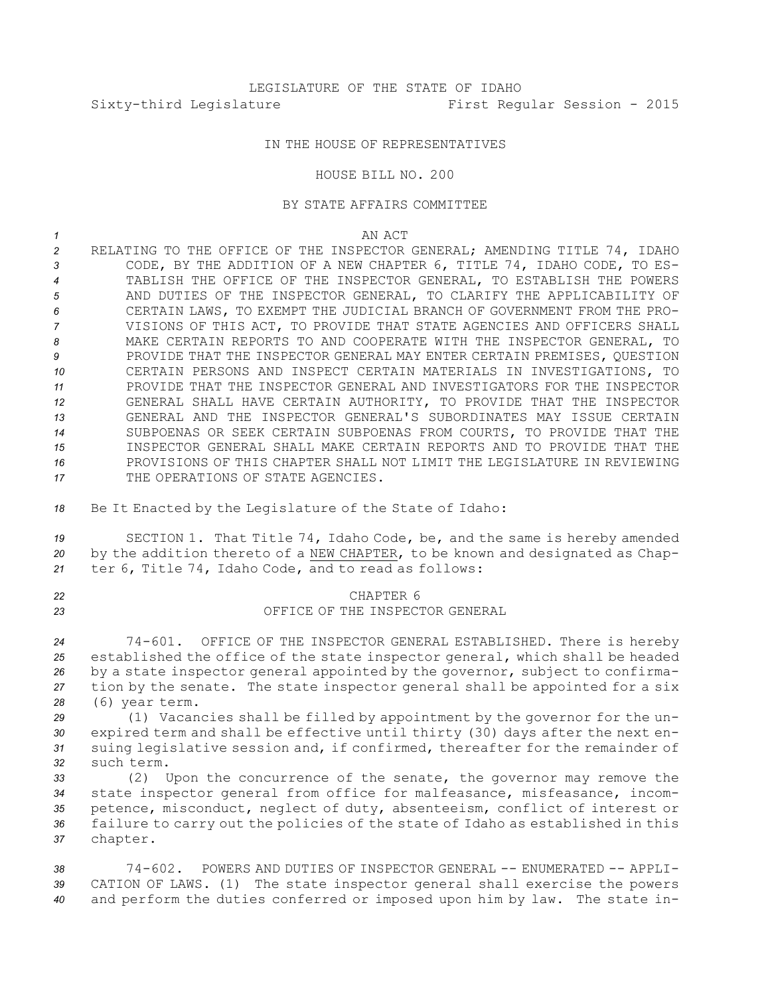## IN THE HOUSE OF REPRESENTATIVES

## HOUSE BILL NO. 200

## BY STATE AFFAIRS COMMITTEE

*1* AN ACT

 RELATING TO THE OFFICE OF THE INSPECTOR GENERAL; AMENDING TITLE 74, IDAHO CODE, BY THE ADDITION OF A NEW CHAPTER 6, TITLE 74, IDAHO CODE, TO ES- TABLISH THE OFFICE OF THE INSPECTOR GENERAL, TO ESTABLISH THE POWERS AND DUTIES OF THE INSPECTOR GENERAL, TO CLARIFY THE APPLICABILITY OF CERTAIN LAWS, TO EXEMPT THE JUDICIAL BRANCH OF GOVERNMENT FROM THE PRO- VISIONS OF THIS ACT, TO PROVIDE THAT STATE AGENCIES AND OFFICERS SHALL MAKE CERTAIN REPORTS TO AND COOPERATE WITH THE INSPECTOR GENERAL, TO PROVIDE THAT THE INSPECTOR GENERAL MAY ENTER CERTAIN PREMISES, QUESTION CERTAIN PERSONS AND INSPECT CERTAIN MATERIALS IN INVESTIGATIONS, TO PROVIDE THAT THE INSPECTOR GENERAL AND INVESTIGATORS FOR THE INSPECTOR GENERAL SHALL HAVE CERTAIN AUTHORITY, TO PROVIDE THAT THE INSPECTOR GENERAL AND THE INSPECTOR GENERAL'S SUBORDINATES MAY ISSUE CERTAIN SUBPOENAS OR SEEK CERTAIN SUBPOENAS FROM COURTS, TO PROVIDE THAT THE INSPECTOR GENERAL SHALL MAKE CERTAIN REPORTS AND TO PROVIDE THAT THE PROVISIONS OF THIS CHAPTER SHALL NOT LIMIT THE LEGISLATURE IN REVIEWING 17 THE OPERATIONS OF STATE AGENCIES.

*<sup>18</sup>* Be It Enacted by the Legislature of the State of Idaho:

*<sup>19</sup>* SECTION 1. That Title 74, Idaho Code, be, and the same is hereby amended *<sup>20</sup>* by the addition thereto of <sup>a</sup> NEW CHAPTER, to be known and designated as Chap-*<sup>21</sup>* ter 6, Title 74, Idaho Code, and to read as follows:

## *22* CHAPTER 6 *23* OFFICE OF THE INSPECTOR GENERAL

 74-601. OFFICE OF THE INSPECTOR GENERAL ESTABLISHED. There is hereby established the office of the state inspector general, which shall be headed by <sup>a</sup> state inspector general appointed by the governor, subject to confirma- tion by the senate. The state inspector general shall be appointed for <sup>a</sup> six (6) year term.

 (1) Vacancies shall be filled by appointment by the governor for the un- expired term and shall be effective until thirty (30) days after the next en- suing legislative session and, if confirmed, thereafter for the remainder of such term.

 (2) Upon the concurrence of the senate, the governor may remove the state inspector general from office for malfeasance, misfeasance, incom- petence, misconduct, neglect of duty, absenteeism, conflict of interest or failure to carry out the policies of the state of Idaho as established in this *<sup>37</sup>* chapter.

*38* 74-602. POWERS AND DUTIES OF INSPECTOR GENERAL -- ENUMERATED -- APPLI-*<sup>39</sup>* CATION OF LAWS. (1) The state inspector general shall exercise the powers *<sup>40</sup>* and perform the duties conferred or imposed upon him by law. The state in-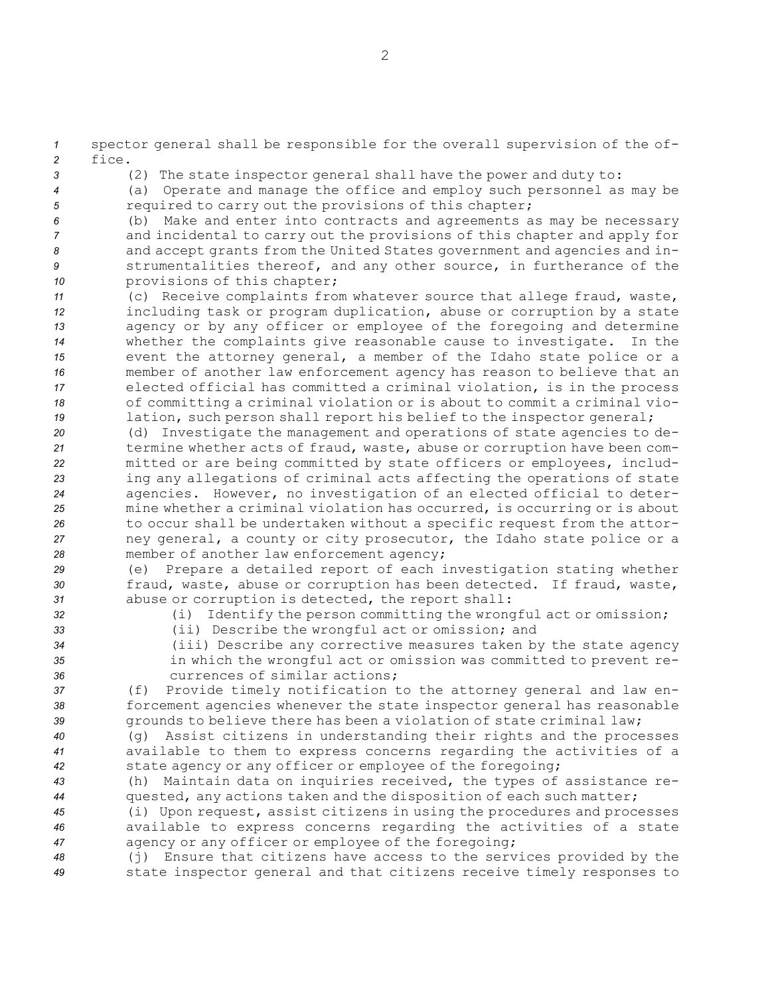*<sup>1</sup>* spector general shall be responsible for the overall supervision of the of-*2* fice.

*<sup>3</sup>* (2) The state inspector general shall have the power and duty to:

*<sup>4</sup>* (a) Operate and manage the office and employ such personnel as may be *<sup>5</sup>* required to carry out the provisions of this chapter;

- *<sup>6</sup>* (b) Make and enter into contracts and agreements as may be necessary *<sup>7</sup>* and incidental to carry out the provisions of this chapter and apply for *<sup>8</sup>* and accept grants from the United States government and agencies and in-*<sup>9</sup>* strumentalities thereof, and any other source, in furtherance of the *<sup>10</sup>* provisions of this chapter;
- *<sup>11</sup>* (c) Receive complaints from whatever source that allege fraud, waste, *<sup>12</sup>* including task or program duplication, abuse or corruption by <sup>a</sup> state *<sup>13</sup>* agency or by any officer or employee of the foregoing and determine *<sup>14</sup>* whether the complaints give reasonable cause to investigate. In the *<sup>15</sup>* event the attorney general, <sup>a</sup> member of the Idaho state police or <sup>a</sup> *<sup>16</sup>* member of another law enforcement agency has reason to believe that an *<sup>17</sup>* elected official has committed <sup>a</sup> criminal violation, is in the process *<sup>18</sup>* of committing <sup>a</sup> criminal violation or is about to commit <sup>a</sup> criminal vio-19 lation, such person shall report his belief to the inspector general;
- *<sup>20</sup>* (d) Investigate the management and operations of state agencies to de-*<sup>21</sup>* termine whether acts of fraud, waste, abuse or corruption have been com-*<sup>22</sup>* mitted or are being committed by state officers or employees, includ-*<sup>23</sup>* ing any allegations of criminal acts affecting the operations of state *<sup>24</sup>* agencies. However, no investigation of an elected official to deter-*<sup>25</sup>* mine whether <sup>a</sup> criminal violation has occurred, is occurring or is about *<sup>26</sup>* to occur shall be undertaken without <sup>a</sup> specific request from the attor-*<sup>27</sup>* ney general, <sup>a</sup> county or city prosecutor, the Idaho state police or <sup>a</sup> *<sup>28</sup>* member of another law enforcement agency;
- *<sup>29</sup>* (e) Prepare <sup>a</sup> detailed report of each investigation stating whether *<sup>30</sup>* fraud, waste, abuse or corruption has been detected. If fraud, waste, *<sup>31</sup>* abuse or corruption is detected, the report shall:
- 
- *<sup>32</sup>* (i) Identify the person committing the wrongful act or omission;
- 
- 
- *<sup>33</sup>* (ii) Describe the wrongful act or omission; and *<sup>34</sup>* (iii) Describe any corrective measures taken by the state agency
	- *<sup>35</sup>* in which the wrongful act or omission was committed to prevent re-*36* currences of similar actions;

*<sup>37</sup>* (f) Provide timely notification to the attorney general and law en-*<sup>38</sup>* forcement agencies whenever the state inspector general has reasonable *<sup>39</sup>* grounds to believe there has been <sup>a</sup> violation of state criminal law;

*<sup>40</sup>* (g) Assist citizens in understanding their rights and the processes *<sup>41</sup>* available to them to express concerns regarding the activities of <sup>a</sup> *<sup>42</sup>* state agency or any officer or employee of the foregoing;

*<sup>43</sup>* (h) Maintain data on inquiries received, the types of assistance re-*<sup>44</sup>* quested, any actions taken and the disposition of each such matter;

*<sup>45</sup>* (i) Upon request, assist citizens in using the procedures and processes *<sup>46</sup>* available to express concerns regarding the activities of <sup>a</sup> state *<sup>47</sup>* agency or any officer or employee of the foregoing;

*<sup>48</sup>* (j) Ensure that citizens have access to the services provided by the *<sup>49</sup>* state inspector general and that citizens receive timely responses to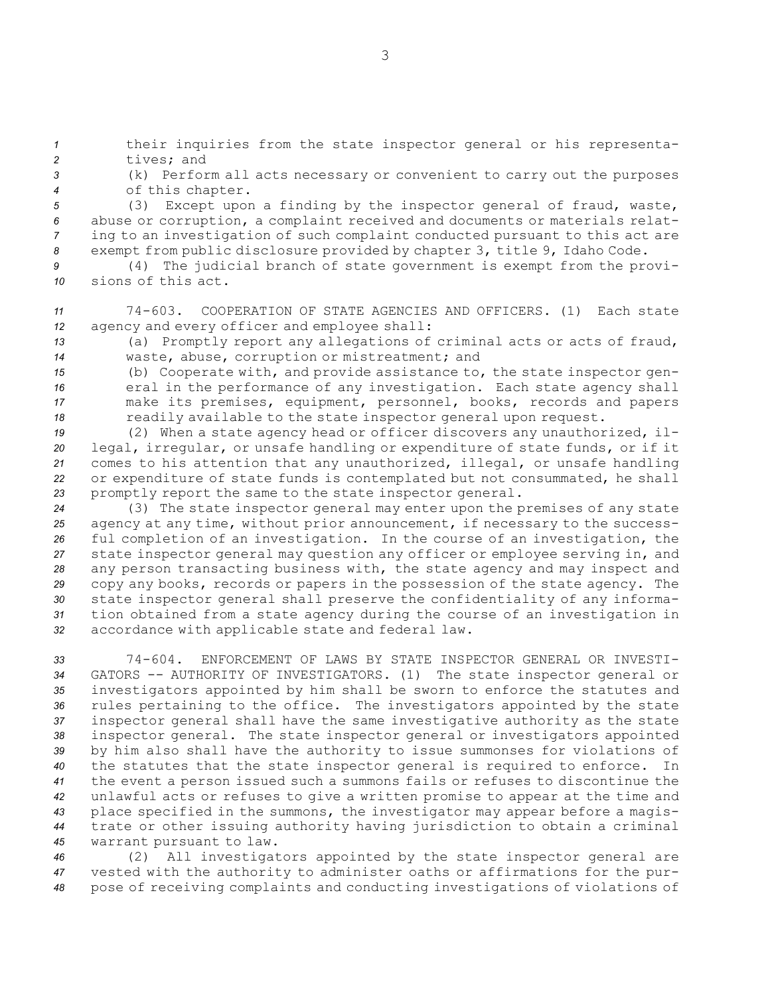*<sup>1</sup>* their inquiries from the state inspector general or his representa-*2* tives; and

*<sup>3</sup>* (k) Perform all acts necessary or convenient to carry out the purposes *<sup>4</sup>* of this chapter.

 (3) Except upon <sup>a</sup> finding by the inspector general of fraud, waste, abuse or corruption, <sup>a</sup> complaint received and documents or materials relat- ing to an investigation of such complaint conducted pursuant to this act are exempt from public disclosure provided by chapter 3, title 9, Idaho Code.

- *<sup>9</sup>* (4) The judicial branch of state government is exempt from the provi-*10* sions of this act.
- *<sup>11</sup>* 74-603. COOPERATION OF STATE AGENCIES AND OFFICERS. (1) Each state *<sup>12</sup>* agency and every officer and employee shall:
- *<sup>13</sup>* (a) Promptly report any allegations of criminal acts or acts of fraud, *<sup>14</sup>* waste, abuse, corruption or mistreatment; and
- *<sup>15</sup>* (b) Cooperate with, and provide assistance to, the state inspector gen-16 **example 16** eral in the performance of any investigation. Each state agency shall *<sup>17</sup>* make its premises, equipment, personnel, books, records and papers 18 readily available to the state inspector general upon request.

 (2) When <sup>a</sup> state agency head or officer discovers any unauthorized, il- legal, irregular, or unsafe handling or expenditure of state funds, or if it comes to his attention that any unauthorized, illegal, or unsafe handling or expenditure of state funds is contemplated but not consummated, he shall promptly report the same to the state inspector general.

 (3) The state inspector general may enter upon the premises of any state agency at any time, without prior announcement, if necessary to the success- ful completion of an investigation. In the course of an investigation, the state inspector general may question any officer or employee serving in, and any person transacting business with, the state agency and may inspect and copy any books, records or papers in the possession of the state agency. The state inspector general shall preserve the confidentiality of any informa- tion obtained from <sup>a</sup> state agency during the course of an investigation in accordance with applicable state and federal law.

 74-604. ENFORCEMENT OF LAWS BY STATE INSPECTOR GENERAL OR INVESTI- GATORS -- AUTHORITY OF INVESTIGATORS. (1) The state inspector general or investigators appointed by him shall be sworn to enforce the statutes and rules pertaining to the office. The investigators appointed by the state inspector general shall have the same investigative authority as the state inspector general. The state inspector general or investigators appointed by him also shall have the authority to issue summonses for violations of the statutes that the state inspector general is required to enforce. In the event <sup>a</sup> person issued such <sup>a</sup> summons fails or refuses to discontinue the unlawful acts or refuses to give <sup>a</sup> written promise to appear at the time and place specified in the summons, the investigator may appear before <sup>a</sup> magis- trate or other issuing authority having jurisdiction to obtain <sup>a</sup> criminal warrant pursuant to law.

*<sup>46</sup>* (2) All investigators appointed by the state inspector general are *<sup>47</sup>* vested with the authority to administer oaths or affirmations for the pur-*<sup>48</sup>* pose of receiving complaints and conducting investigations of violations of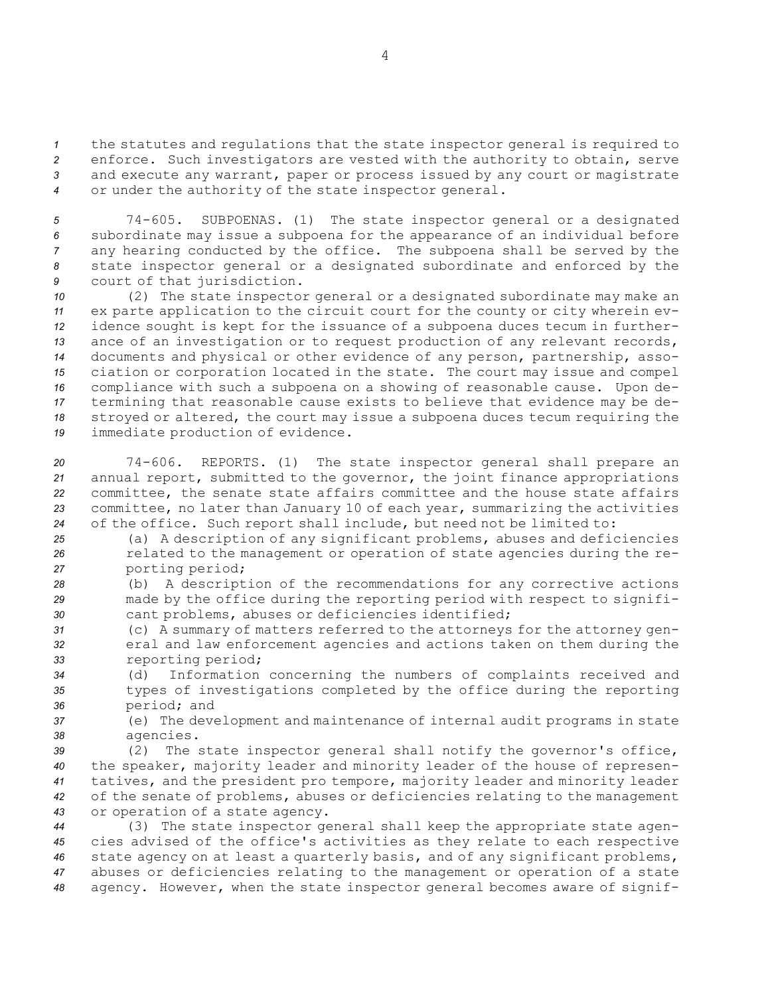the statutes and regulations that the state inspector general is required to enforce. Such investigators are vested with the authority to obtain, serve and execute any warrant, paper or process issued by any court or magistrate or under the authority of the state inspector general.

 74-605. SUBPOENAS. (1) The state inspector general or <sup>a</sup> designated subordinate may issue <sup>a</sup> subpoena for the appearance of an individual before any hearing conducted by the office. The subpoena shall be served by the state inspector general or <sup>a</sup> designated subordinate and enforced by the court of that jurisdiction.

 (2) The state inspector general or <sup>a</sup> designated subordinate may make an ex parte application to the circuit court for the county or city wherein ev- idence sought is kept for the issuance of <sup>a</sup> subpoena duces tecum in further- ance of an investigation or to request production of any relevant records, documents and physical or other evidence of any person, partnership, asso- ciation or corporation located in the state. The court may issue and compel compliance with such <sup>a</sup> subpoena on <sup>a</sup> showing of reasonable cause. Upon de- termining that reasonable cause exists to believe that evidence may be de- stroyed or altered, the court may issue <sup>a</sup> subpoena duces tecum requiring the immediate production of evidence.

 74-606. REPORTS. (1) The state inspector general shall prepare an annual report, submitted to the governor, the joint finance appropriations committee, the senate state affairs committee and the house state affairs committee, no later than January 10 of each year, summarizing the activities of the office. Such report shall include, but need not be limited to:

*<sup>25</sup>* (a) <sup>A</sup> description of any significant problems, abuses and deficiencies *<sup>26</sup>* related to the management or operation of state agencies during the re-*<sup>27</sup>* porting period;

*<sup>28</sup>* (b) <sup>A</sup> description of the recommendations for any corrective actions *<sup>29</sup>* made by the office during the reporting period with respect to signifi-*<sup>30</sup>* cant problems, abuses or deficiencies identified;

*<sup>31</sup>* (c) A summary of matters referred to the attorneys for the attorney gen-*<sup>32</sup>* eral and law enforcement agencies and actions taken on them during the *<sup>33</sup>* reporting period;

*<sup>34</sup>* (d) Information concerning the numbers of complaints received and *<sup>35</sup>* types of investigations completed by the office during the reporting *<sup>36</sup>* period; and

*<sup>37</sup>* (e) The development and maintenance of internal audit programs in state *<sup>38</sup>* agencies.

 (2) The state inspector general shall notify the governor's office, the speaker, majority leader and minority leader of the house of represen- tatives, and the president pro tempore, majority leader and minority leader of the senate of problems, abuses or deficiencies relating to the management or operation of <sup>a</sup> state agency.

 (3) The state inspector general shall keep the appropriate state agen- cies advised of the office's activities as they relate to each respective state agency on at least <sup>a</sup> quarterly basis, and of any significant problems, abuses or deficiencies relating to the management or operation of <sup>a</sup> state agency. However, when the state inspector general becomes aware of signif-